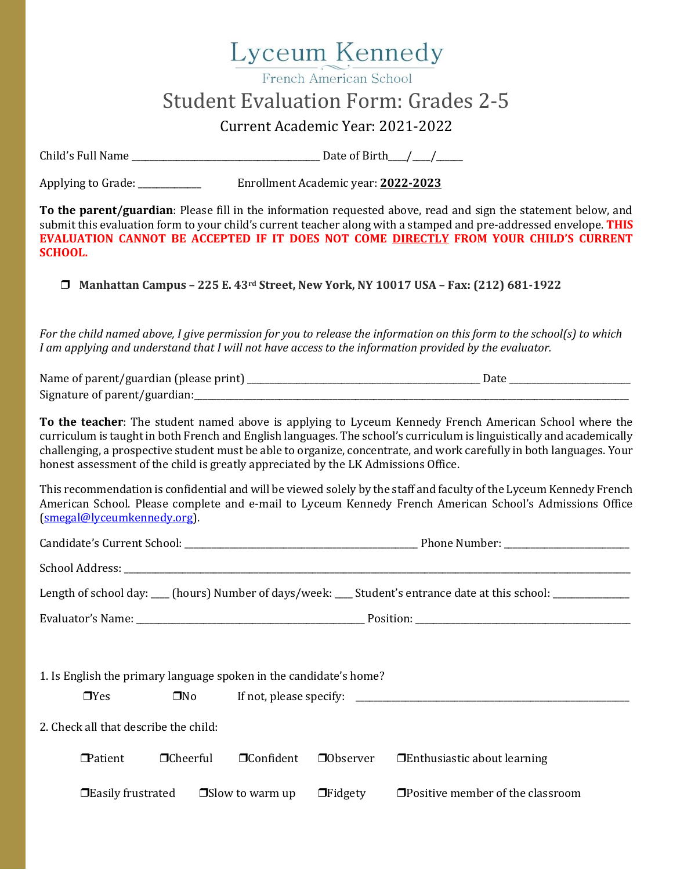## Lyceum Kennedy

French American School

## Student Evaluation Form: Grades 2-5

Current Academic Year: 2021-2022

Child's Full Name \_\_\_\_\_\_\_\_\_\_\_\_\_\_\_\_\_\_\_\_\_\_\_\_\_\_\_\_\_\_\_\_\_\_\_\_\_\_\_\_\_\_ Date of Birth\_\_\_\_/\_\_\_\_/\_\_\_\_\_\_

Applying to Grade: \_\_\_\_\_\_\_\_\_\_\_\_\_\_ Enrollment Academic year: **2022-2023**

**To the parent/guardian**: Please fill in the information requested above, read and sign the statement below, and submit this evaluation form to your child's current teacher along with a stamped and pre-addressed envelope. **THIS EVALUATION CANNOT BE ACCEPTED IF IT DOES NOT COME DIRECTLY FROM YOUR CHILD'S CURRENT SCHOOL.**

❒ **Manhattan Campus – 225 E. 43rd Street, New York, NY 10017 USA – Fax: (212) 681-1922**

*For the child named above, I give permission for you to release the information on this form to the school(s) to which I am applying and understand that I will not have access to the information provided by the evaluator.*

| Name of parent/guardian (please print) |  |
|----------------------------------------|--|
| Signature of parent/guardian:          |  |

**To the teacher**: The student named above is applying to Lyceum Kennedy French American School where the curriculum is taught in both French and English languages. The school's curriculum is linguistically and academically challenging, a prospective student must be able to organize, concentrate, and work carefully in both languages. Your honest assessment of the child is greatly appreciated by the LK Admissions Office.

This recommendation is confidential and will be viewed solely by the staff and faculty of the Lyceum Kennedy French American School. Please complete and e-mail to Lyceum Kennedy French American School's Admissions Office [\(smegal@lyceumkennedy.org\)](file:///C:/Users/Steve%20L%20Megal/Downloads/smegal@lyceumkennedy.org).

|                                                                                  |                 |                        |                | Length of school day: ___ (hours) Number of days/week: ___ Student's entrance date at this school: ___________ |  |  |
|----------------------------------------------------------------------------------|-----------------|------------------------|----------------|----------------------------------------------------------------------------------------------------------------|--|--|
|                                                                                  |                 |                        |                |                                                                                                                |  |  |
| 1. Is English the primary language spoken in the candidate's home?<br>$\Box$ Yes |                 |                        |                |                                                                                                                |  |  |
| 2. Check all that describe the child:                                            |                 |                        |                |                                                                                                                |  |  |
| $\blacksquare$ Patient                                                           | $\Box$ Cheerful | $\Box$ Confident       |                | $\Box$ Observer $\Box$ Enthusiastic about learning                                                             |  |  |
| $\Box$ Easily frustrated                                                         |                 | $\Box$ Slow to warm up | $\Box$ Fidgety | $\Box$ Positive member of the classroom                                                                        |  |  |